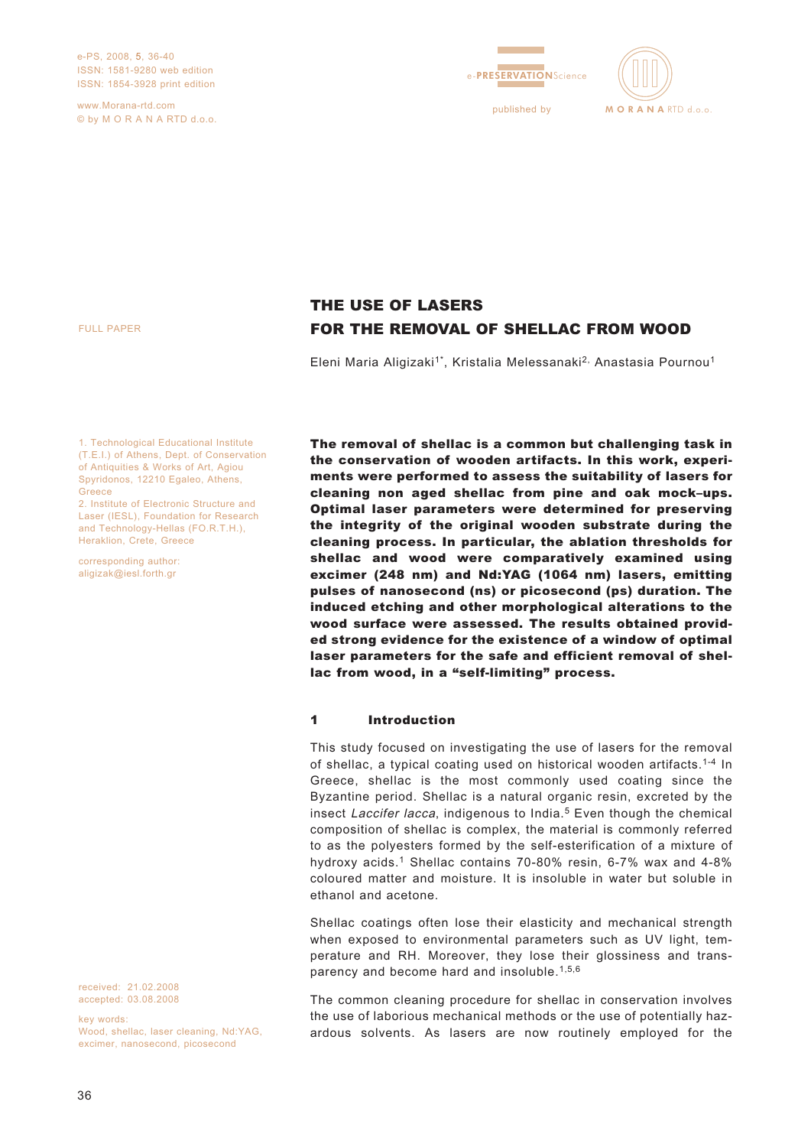e-PS, 2008, 5, 36-40 ISSN: 1581-9280 web edition ISSN: 1854-3928 print edition

www.Morana-rtd.com © by M O R A N A RTD d.o.o.





FULL PAPER

THE USE OF LASERS FOR THE REMOVAL OF SHELLAC FROM WOOD

Eleni Maria Aligizaki<sup>1\*</sup>, Kristalia Melessanaki<sup>2,</sup> Anastasia Pournou<sup>1</sup>

The removal of shellac is a common but challenging task in the conservation of wooden artifacts. In this work, experiments were performed to assess the suitability of lasers for cleaning non aged shellac from pine and oak mock–ups.

1. Technological Educational Institute (T.E.I.) of Athens, Dept. of Conservation of Antiquities & Works of Art, Agiou Spyridonos, 12210 Egaleo, Athens, Greece

2. Institute of Electronic Structure and Laser (IESL), Foundation for Research and Technology-Hellas (FO.R.T.H.), Heraklion, Crete, Greece

corresponding author: aligizak@iesl.forth.gr

Optimal laser parameters were determined for preserving the integrity of the original wooden substrate during the cleaning process. In particular, the ablation thresholds for shellac and wood were comparatively examined using excimer (248 nm) and Nd:YAG (1064 nm) lasers, emitting pulses of nanosecond (ns) or picosecond (ps) duration. The induced etching and other morphological alterations to the wood surface were assessed. The results obtained provided strong evidence for the existence of a window of optimal laser parameters for the safe and efficient removal of shellac from wood, in a "self-limiting" process.

#### 1 Introduction

This study focused on investigating the use of lasers for the removal of shellac, a typical coating used on historical wooden artifacts.1-4 In Greece, shellac is the most commonly used coating since the Byzantine period. Shellac is a natural organic resin, excreted by the insect Laccifer lacca, indigenous to India.<sup>5</sup> Even though the chemical composition of shellac is complex, the material is commonly referred to as the polyesters formed by the self-esterification of a mixture of hydroxy acids.1 Shellac contains 70-80% resin, 6-7% wax and 4-8% coloured matter and moisture. It is insoluble in water but soluble in ethanol and acetone.

Shellac coatings often lose their elasticity and mechanical strength when exposed to environmental parameters such as UV light, temperature and RH. Moreover, they lose their glossiness and transparency and become hard and insoluble.<sup>1,5,6</sup>

The common cleaning procedure for shellac in conservation involves the use of laborious mechanical methods or the use of potentially hazardous solvents. As lasers are now routinely employed for the

received: 21.02.2008 accepted: 03.08.2008

key words:

Wood, shellac, laser cleaning, Nd:YAG, excimer, nanosecond, picosecond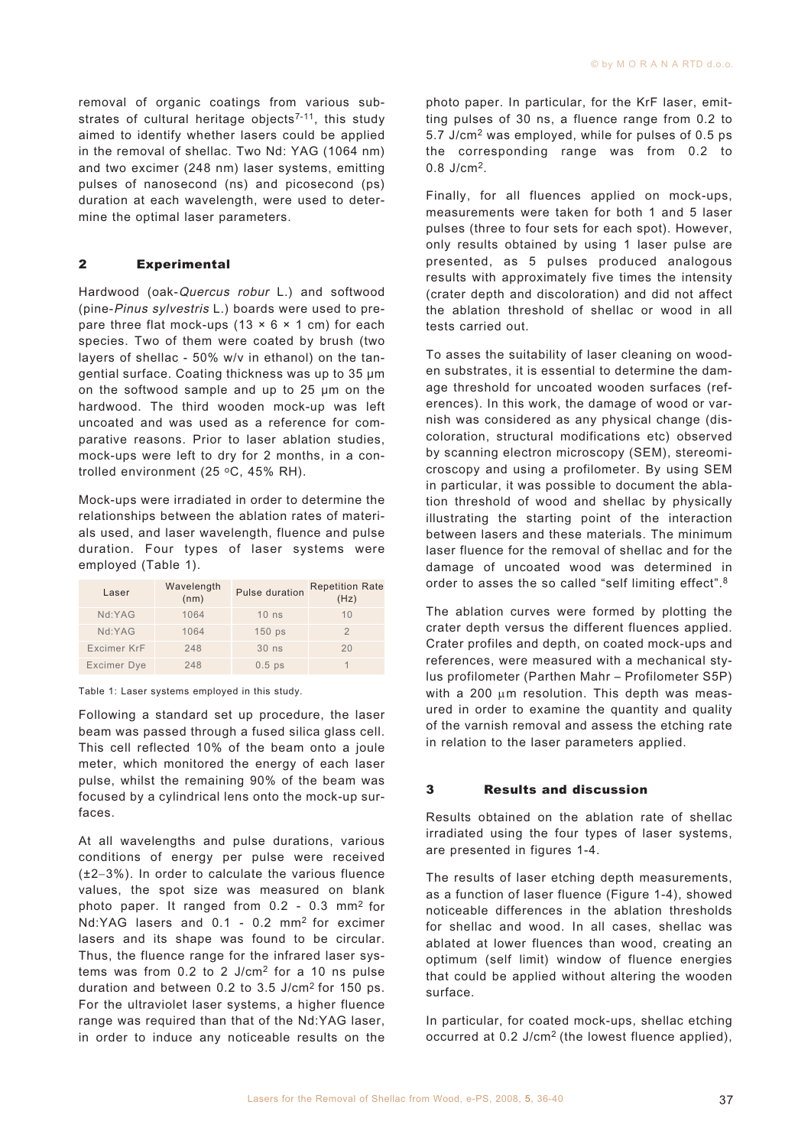removal of organic coatings from various substrates of cultural heritage objects<sup>7-11</sup>, this study aimed to identify whether lasers could be applied in the removal of shellac. Two Nd: YAG (1064 nm) and two excimer (248 nm) laser systems, emitting pulses of nanosecond (ns) and picosecond (ps) duration at each wavelength, were used to determine the optimal laser parameters.

# 2 Experimental

Hardwood (oak-Quercus robur L.) and softwood (pine-Pinus sylvestris L.) boards were used to prepare three flat mock-ups  $(13 \times 6 \times 1 \text{ cm})$  for each species. Two of them were coated by brush (two layers of shellac - 50% w/v in ethanol) on the tangential surface. Coating thickness was up to 35 μm on the softwood sample and up to 25 μm on the hardwood. The third wooden mock-up was left uncoated and was used as a reference for comparative reasons. Prior to laser ablation studies, mock-ups were left to dry for 2 months, in a controlled environment (25  $°C$ , 45% RH).

Mock-ups were irradiated in order to determine the relationships between the ablation rates of materials used, and laser wavelength, fluence and pulse duration. Four types of laser systems were employed (Table 1).

| Laser              | Wavelength<br>(nm) | Pulse duration | <b>Repetition Rate</b><br>(Hz) |
|--------------------|--------------------|----------------|--------------------------------|
| Nd:YAG             | 1064               | $10$ ns        | 10                             |
| Nd:YAG             | 1064               | $150$ ps       |                                |
| Excimer KrF        | 248                | $30$ ns        | 20                             |
| <b>Excimer Dye</b> | 248                | $0.5$ ps       |                                |

Table 1: Laser systems employed in this study.

Following a standard set up procedure, the laser beam was passed through a fused silica glass cell. This cell reflected 10% of the beam onto a joule meter, which monitored the energy of each laser pulse, whilst the remaining 90% of the beam was focused by a cylindrical lens onto the mock-up surfaces.

At all wavelengths and pulse durations, various conditions of energy per pulse were received (±2−3%). In order to calculate the various fluence values, the spot size was measured on blank photo paper. It ranged from 0.2 - 0.3 mm2 for Nd:YAG lasers and 0.1 - 0.2 mm2 for excimer lasers and its shape was found to be circular. Thus, the fluence range for the infrared laser systems was from 0.2 to 2 J/cm2 for a 10 ns pulse duration and between 0.2 to 3.5 J/cm2 for 150 ps. For the ultraviolet laser systems, a higher fluence range was required than that of the Nd:YAG laser, in order to induce any noticeable results on the

photo paper. In particular, for the KrF laser, emitting pulses of 30 ns, a fluence range from 0.2 to 5.7 J/cm2 was employed, while for pulses of 0.5 ps the corresponding range was from 0.2 to 0.8 J/cm2.

Finally, for all fluences applied on mock-ups, measurements were taken for both 1 and 5 laser pulses (three to four sets for each spot). However, only results obtained by using 1 laser pulse are presented, as 5 pulses produced analogous results with approximately five times the intensity (crater depth and discoloration) and did not affect the ablation threshold of shellac or wood in all tests carried out.

To asses the suitability of laser cleaning on wooden substrates, it is essential to determine the damage threshold for uncoated wooden surfaces (references). In this work, the damage of wood or varnish was considered as any physical change (discoloration, structural modifications etc) observed by scanning electron microscopy (SEM), stereomicroscopy and using a profilometer. By using SEM in particular, it was possible to document the ablation threshold of wood and shellac by physically illustrating the starting point of the interaction between lasers and these materials. The minimum laser fluence for the removal of shellac and for the damage of uncoated wood was determined in order to asses the so called "self limiting effect".<sup>8</sup>

The ablation curves were formed by plotting the crater depth versus the different fluences applied. Crater profiles and depth, on coated mock-ups and references, were measured with a mechanical stylus profilometer (Parthen Mahr – Profilometer S5P) with a 200 μm resolution. This depth was measured in order to examine the quantity and quality of the varnish removal and assess the etching rate in relation to the laser parameters applied.

# 3 Results and discussion

Results obtained on the ablation rate of shellac irradiated using the four types of laser systems, are presented in figures 1-4.

The results of laser etching depth measurements, as a function of laser fluence (Figure 1-4), showed noticeable differences in the ablation thresholds for shellac and wood. In all cases, shellac was ablated at lower fluences than wood, creating an optimum (self limit) window of fluence energies that could be applied without altering the wooden surface.

In particular, for coated mock-ups, shellac etching occurred at 0.2 J/cm2 (the lowest fluence applied),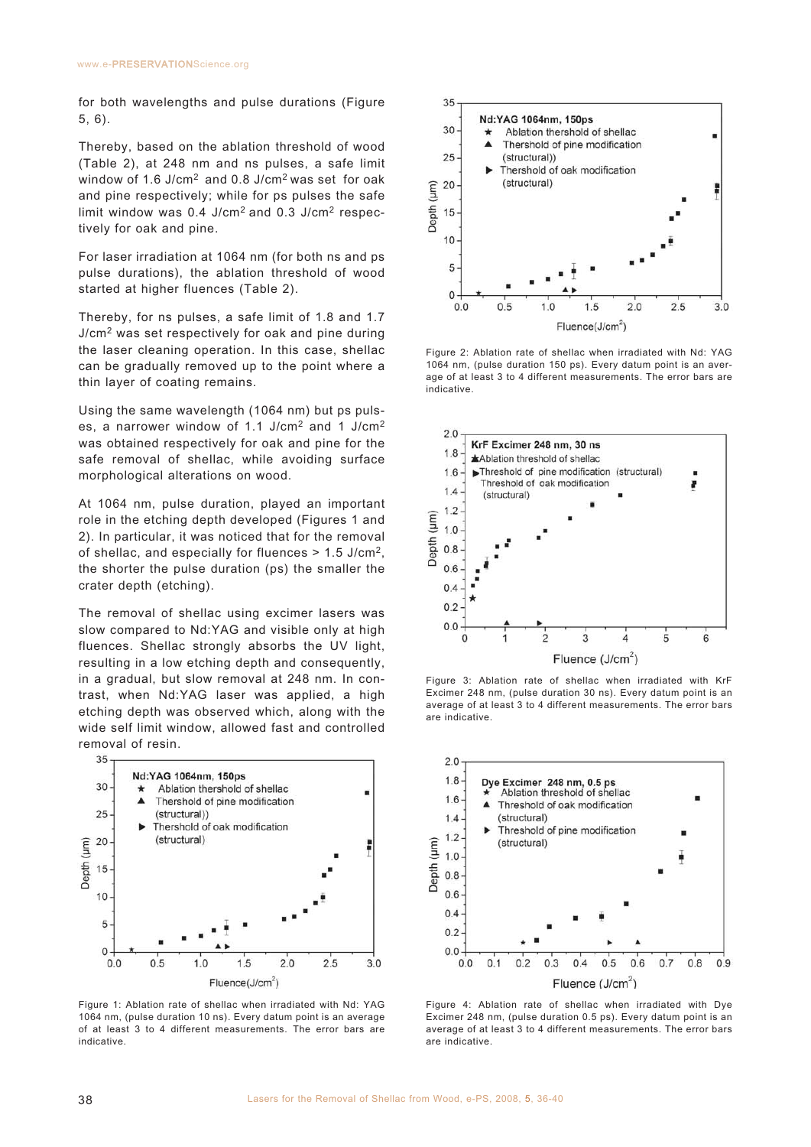for both wavelengths and pulse durations (Figure 5, 6).

Thereby, based on the ablation threshold of wood (Table 2), at 248 nm and ns pulses, a safe limit window of 1.6 J/cm2 and 0.8 J/cm2 was set for oak and pine respectively; while for ps pulses the safe limit window was 0.4 J/cm2 and 0.3 J/cm2 respectively for oak and pine.

For laser irradiation at 1064 nm (for both ns and ps pulse durations), the ablation threshold of wood started at higher fluences (Table 2).

Thereby, for ns pulses, a safe limit of 1.8 and 1.7 J/cm<sup>2</sup> was set respectively for oak and pine during the laser cleaning operation. In this case, shellac can be gradually removed up to the point where a thin layer of coating remains.

Using the same wavelength (1064 nm) but ps pulses, a narrower window of 1.1 J/cm2 and 1 J/cm2 was obtained respectively for oak and pine for the safe removal of shellac, while avoiding surface morphological alterations on wood.

At 1064 nm, pulse duration, played an important role in the etching depth developed (Figures 1 and 2). In particular, it was noticed that for the removal of shellac, and especially for fluences > 1.5 J/cm2, the shorter the pulse duration (ps) the smaller the crater depth (etching).

The removal of shellac using excimer lasers was slow compared to Nd:YAG and visible only at high fluences. Shellac strongly absorbs the UV light, resulting in a low etching depth and consequently, in a gradual, but slow removal at 248 nm. In contrast, when Nd:YAG laser was applied, a high etching depth was observed which, along with the wide self limit window, allowed fast and controlled removal of resin.



Figure 1: Ablation rate of shellac when irradiated with Nd: YAG 1064 nm, (pulse duration 10 ns). Every datum point is an average of at least 3 to 4 different measurements. The error bars are indicative.



Figure 2: Ablation rate of shellac when irradiated with Nd: YAG 1064 nm, (pulse duration 150 ps). Every datum point is an average of at least 3 to 4 different measurements. The error bars are indicative.



Figure 3: Ablation rate of shellac when irradiated with KrF Excimer 248 nm, (pulse duration 30 ns). Every datum point is an average of at least 3 to 4 different measurements. The error bars are indicative.



Figure 4: Ablation rate of shellac when irradiated with Dye Excimer 248 nm, (pulse duration 0.5 ps). Every datum point is an average of at least 3 to 4 different measurements. The error bars are indicative.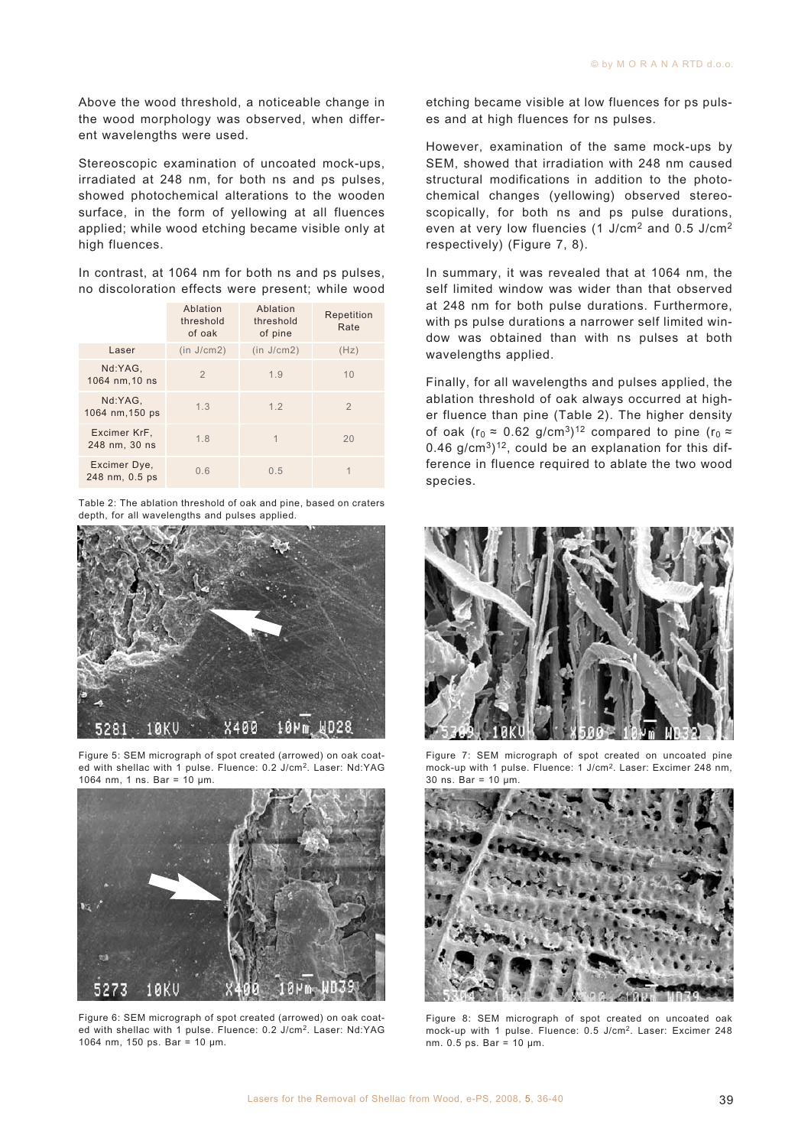Above the wood threshold, a noticeable change in the wood morphology was observed, when different wavelengths were used.

Stereoscopic examination of uncoated mock-ups, irradiated at 248 nm, for both ns and ps pulses, showed photochemical alterations to the wooden surface, in the form of yellowing at all fluences applied; while wood etching became visible only at high fluences.

In contrast, at 1064 nm for both ns and ps pulses, no discoloration effects were present; while wood

|                                | Ablation<br>threshold<br>of oak | Ablation<br>threshold<br>of pine | Repetition<br>Rate |
|--------------------------------|---------------------------------|----------------------------------|--------------------|
| Laser                          | (in J/cm2)                      | (in J/cm2)                       | (Hz)               |
| Nd:YAG,<br>1064 nm, 10 ns      | $\overline{2}$                  | 1.9                              | 10                 |
| Nd:YAG,<br>1064 nm, 150 ps     | 1.3                             | 1.2                              | $\overline{2}$     |
| Excimer KrF,<br>248 nm, 30 ns  | 1.8                             | 1                                | 20                 |
| Excimer Dye,<br>248 nm, 0.5 ps | 0.6                             | 0.5                              |                    |

Table 2: The ablation threshold of oak and pine, based on craters depth, for all wavelengths and pulses applied.



Figure 5: SEM micrograph of spot created (arrowed) on oak coated with shellac with 1 pulse. Fluence: 0.2 J/cm2. Laser: Nd:YAG 1064 nm, 1 ns. Bar = 10 μm.



Figure 6: SEM micrograph of spot created (arrowed) on oak coated with shellac with 1 pulse. Fluence: 0.2 J/cm2. Laser: Nd:YAG 1064 nm, 150 ps. Bar = 10 μm.

etching became visible at low fluences for ps pulses and at high fluences for ns pulses.

However, examination of the same mock-ups by SEM, showed that irradiation with 248 nm caused structural modifications in addition to the photochemical changes (yellowing) observed stereoscopically, for both ns and ps pulse durations, even at very low fluencies (1 J/cm2 and 0.5 J/cm2 respectively) (Figure 7, 8).

In summary, it was revealed that at 1064 nm, the self limited window was wider than that observed at 248 nm for both pulse durations. Furthermore, with ps pulse durations a narrower self limited window was obtained than with ns pulses at both wavelengths applied.

Finally, for all wavelengths and pulses applied, the ablation threshold of oak always occurred at higher fluence than pine (Table 2). The higher density of oak (r<sub>0</sub>  $\approx$  0.62 g/cm<sup>3</sup>)<sup>12</sup> compared to pine (r<sub>0</sub>  $\approx$ 0.46 g/cm<sup>3</sup> $)$ <sup>12</sup>, could be an explanation for this difference in fluence required to ablate the two wood species.



Figure 7: SEM micrograph of spot created on uncoated pine mock-up with 1 pulse. Fluence: 1 J/cm2. Laser: Excimer 248 nm, 30 ns. Bar = 10 μm.



Figure 8: SEM micrograph of spot created on uncoated oak mock-up with 1 pulse. Fluence: 0.5 J/cm2. Laser: Excimer 248 nm. 0.5 ps. Bar = 10 μm.